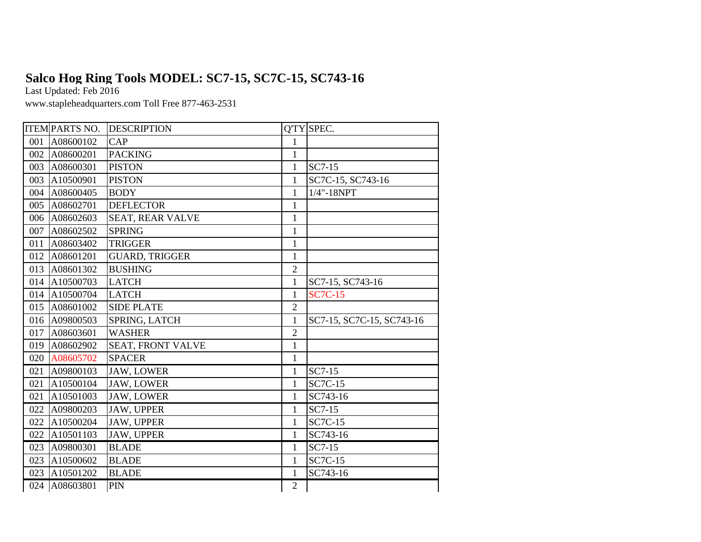## **Salco Hog Ring Tools MODEL: SC7-15, SC7C-15, SC743-16**

Last Updated: Feb 2016

www.stapleheadquarters.com Toll Free 877-463-2531

|     | <b>ITEM PARTS NO.</b> | <b>DESCRIPTION</b>       |                | Q'TY SPEC.                |
|-----|-----------------------|--------------------------|----------------|---------------------------|
| 001 | A08600102             | CAP                      | 1              |                           |
| 002 | A08600201             | <b>PACKING</b>           | $\mathbf{1}$   |                           |
| 003 | A08600301             | <b>PISTON</b>            | 1              | SC7-15                    |
| 003 | A10500901             | <b>PISTON</b>            | $\mathbf{1}$   | SC7C-15, SC743-16         |
| 004 | A08600405             | <b>BODY</b>              | 1              | $1/4$ "- $18NPT$          |
| 005 | A08602701             | <b>DEFLECTOR</b>         | $\mathbf{1}$   |                           |
| 006 | A08602603             | SEAT, REAR VALVE         | $\mathbf{1}$   |                           |
| 007 | A08602502             | <b>SPRING</b>            | $\mathbf{1}$   |                           |
| 011 | A08603402             | <b>TRIGGER</b>           | $\mathbf{1}$   |                           |
| 012 | A08601201             | <b>GUARD, TRIGGER</b>    | $\mathbf{1}$   |                           |
| 013 | A08601302             | <b>BUSHING</b>           | $\overline{2}$ |                           |
| 014 | A10500703             | <b>LATCH</b>             | 1              | SC7-15, SC743-16          |
| 014 | A10500704             | <b>LATCH</b>             | $\mathbf{1}$   | <b>SC7C-15</b>            |
| 015 | A08601002             | <b>SIDE PLATE</b>        | $\overline{2}$ |                           |
| 016 | A09800503             | SPRING, LATCH            | $\mathbf{1}$   | SC7-15, SC7C-15, SC743-16 |
| 017 | A08603601             | <b>WASHER</b>            | $\overline{2}$ |                           |
| 019 | A08602902             | <b>SEAT, FRONT VALVE</b> | $\mathbf{1}$   |                           |
| 020 | A08605702             | <b>SPACER</b>            | $\mathbf{1}$   |                           |
| 021 | A09800103             | <b>JAW, LOWER</b>        | 1              | SC7-15                    |
| 021 | A10500104             | <b>JAW, LOWER</b>        | 1              | <b>SC7C-15</b>            |
| 021 | A10501003             | <b>JAW, LOWER</b>        | 1              | SC743-16                  |
| 022 | A09800203             | <b>JAW, UPPER</b>        | 1              | SC7-15                    |
| 022 | A10500204             | <b>JAW, UPPER</b>        | 1              | <b>SC7C-15</b>            |
| 022 | A10501103             | <b>JAW, UPPER</b>        | $\mathbf{1}$   | SC743-16                  |
| 023 | A09800301             | <b>BLADE</b>             | 1              | SC7-15                    |
| 023 | A10500602             | <b>BLADE</b>             | $\mathbf{1}$   | <b>SC7C-15</b>            |
| 023 | A10501202             | <b>BLADE</b>             | $\mathbf{1}$   | SC743-16                  |
| 024 | A08603801             | PIN                      | $\mathbf{2}$   |                           |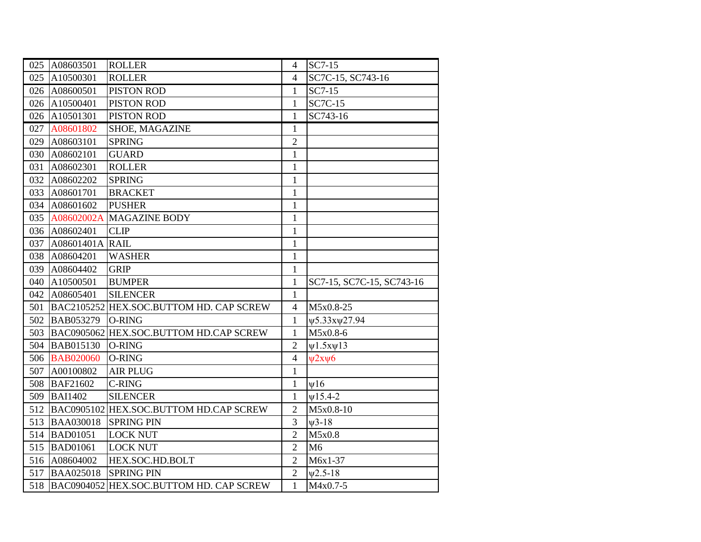| 025 | A08603501        | <b>ROLLER</b>                           | $\overline{4}$ | SC7-15                    |
|-----|------------------|-----------------------------------------|----------------|---------------------------|
| 025 | A10500301        | <b>ROLLER</b>                           | $\overline{4}$ | SC7C-15, SC743-16         |
|     | 026 A08600501    | PISTON ROD                              | 1              | SC7-15                    |
| 026 | A10500401        | PISTON ROD                              | $\mathbf{1}$   | <b>SC7C-15</b>            |
| 026 | A10501301        | PISTON ROD                              | $\mathbf{1}$   | SC743-16                  |
| 027 | A08601802        | SHOE, MAGAZINE                          | 1              |                           |
| 029 | A08603101        | <b>SPRING</b>                           | $\overline{2}$ |                           |
| 030 | A08602101        | <b>GUARD</b>                            | $\mathbf{1}$   |                           |
| 031 | A08602301        | <b>ROLLER</b>                           | $\mathbf{1}$   |                           |
| 032 | A08602202        | <b>SPRING</b>                           | $\mathbf{1}$   |                           |
| 033 | A08601701        | <b>BRACKET</b>                          | 1              |                           |
| 034 | A08601602        | <b>PUSHER</b>                           | $\mathbf{1}$   |                           |
|     |                  | 035 A08602002A MAGAZINE BODY            | $\mathbf{1}$   |                           |
| 036 | A08602401        | <b>CLIP</b>                             | $\mathbf{1}$   |                           |
| 037 | A08601401A RAIL  |                                         | 1              |                           |
| 038 | A08604201        | <b>WASHER</b>                           | $\mathbf{1}$   |                           |
| 039 | A08604402        | <b>GRIP</b>                             | $\mathbf{1}$   |                           |
| 040 | A10500501        | <b>BUMPER</b>                           | $\mathbf{1}$   | SC7-15, SC7C-15, SC743-16 |
| 042 | A08605401        | <b>SILENCER</b>                         | $\mathbf{1}$   |                           |
| 501 |                  | BAC2105252 HEX.SOC.BUTTOM HD. CAP SCREW | $\overline{4}$ | M5x0.8-25                 |
| 502 | BAB053279        | O-RING                                  | $\mathbf{1}$   | ψ5.33xψ27.94              |
| 503 |                  | BAC0905062 HEX.SOC.BUTTOM HD.CAP SCREW  | $\mathbf{1}$   | M5x0.8-6                  |
| 504 | <b>BAB015130</b> | <b>O-RING</b>                           | $\overline{2}$ | $\Psi$ 1.5x $\Psi$ 13     |
| 506 | <b>BAB020060</b> | <b>O-RING</b>                           | $\overline{4}$ | $\psi$ 2x $\psi$ 6        |
| 507 | A00100802        | <b>AIR PLUG</b>                         | $\mathbf{1}$   |                           |
| 508 | <b>BAF21602</b>  | <b>C-RING</b>                           | 1              | V16                       |
| 509 | <b>BAI1402</b>   | <b>SILENCER</b>                         | $\mathbf{1}$   | $V15.4-2$                 |
| 512 |                  | BAC0905102 HEX.SOC.BUTTOM HD.CAP SCREW  | $\overline{2}$ | M5x0.8-10                 |
| 513 | <b>BAA030018</b> | <b>SPRING PIN</b>                       | $\overline{3}$ | $\n  w3-18\n$             |
| 514 | <b>BAD01051</b>  | <b>LOCK NUT</b>                         | $\overline{2}$ | M5x0.8                    |
| 515 | <b>BAD01061</b>  | <b>LOCK NUT</b>                         | $\overline{2}$ | M <sub>6</sub>            |
| 516 | A08604002        | HEX.SOC.HD.BOLT                         | $\overline{2}$ | M6x1-37                   |
| 517 | <b>BAA025018</b> | <b>SPRING PIN</b>                       | $\overline{2}$ | $\Psi$ 2.5-18             |
| 518 |                  | BAC0904052 HEX.SOC.BUTTOM HD. CAP SCREW | $\mathbf{1}$   | M4x0.7-5                  |